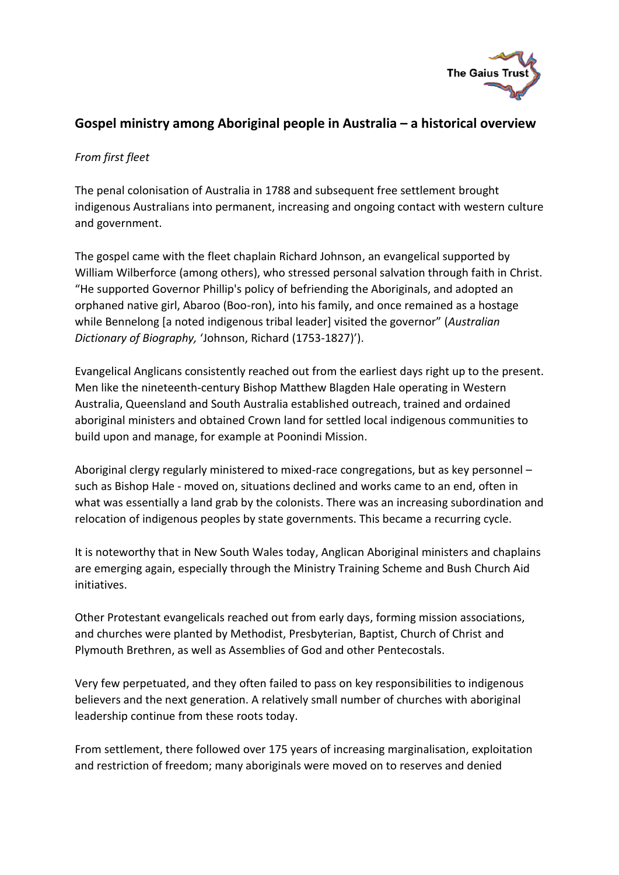

## **Gospel ministry among Aboriginal people in Australia – a historical overview**

## *From first fleet*

The penal colonisation of Australia in 1788 and subsequent free settlement brought indigenous Australians into permanent, increasing and ongoing contact with western culture and government.

The gospel came with the fleet chaplain Richard Johnson, an evangelical supported by William Wilberforce (among others), who stressed personal salvation through faith in Christ. "He supported Governor Phillip's policy of befriending the Aboriginals, and adopted an orphaned native girl, Abaroo (Boo-ron), into his family, and once remained as a hostage while Bennelong [a noted indigenous tribal leader] visited the governor" (*Australian Dictionary of Biography,* 'Johnson, Richard (1753-1827)').

Evangelical Anglicans consistently reached out from the earliest days right up to the present. Men like the nineteenth-century Bishop Matthew Blagden Hale operating in Western Australia, Queensland and South Australia established outreach, trained and ordained aboriginal ministers and obtained Crown land for settled local indigenous communities to build upon and manage, for example at Poonindi Mission.

Aboriginal clergy regularly ministered to mixed-race congregations, but as key personnel – such as Bishop Hale - moved on, situations declined and works came to an end, often in what was essentially a land grab by the colonists. There was an increasing subordination and relocation of indigenous peoples by state governments. This became a recurring cycle.

It is noteworthy that in New South Wales today, Anglican Aboriginal ministers and chaplains are emerging again, especially through the Ministry Training Scheme and Bush Church Aid initiatives.

Other Protestant evangelicals reached out from early days, forming mission associations, and churches were planted by Methodist, Presbyterian, Baptist, Church of Christ and Plymouth Brethren, as well as Assemblies of God and other Pentecostals.

Very few perpetuated, and they often failed to pass on key responsibilities to indigenous believers and the next generation. A relatively small number of churches with aboriginal leadership continue from these roots today.

From settlement, there followed over 175 years of increasing marginalisation, exploitation and restriction of freedom; many aboriginals were moved on to reserves and denied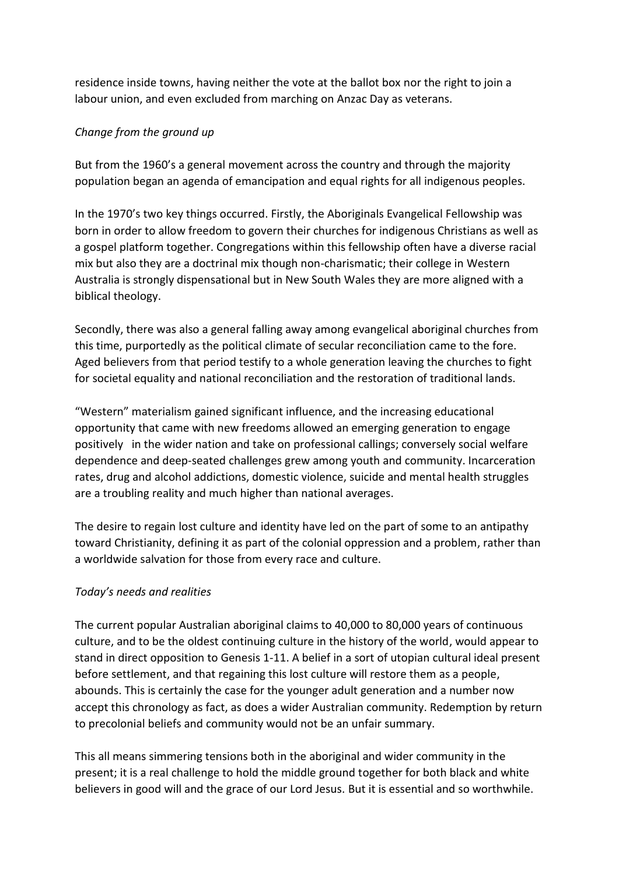residence inside towns, having neither the vote at the ballot box nor the right to join a labour union, and even excluded from marching on Anzac Day as veterans.

## *Change from the ground up*

But from the 1960's a general movement across the country and through the majority population began an agenda of emancipation and equal rights for all indigenous peoples.

In the 1970's two key things occurred. Firstly, the Aboriginals Evangelical Fellowship was born in order to allow freedom to govern their churches for indigenous Christians as well as a gospel platform together. Congregations within this fellowship often have a diverse racial mix but also they are a doctrinal mix though non-charismatic; their college in Western Australia is strongly dispensational but in New South Wales they are more aligned with a biblical theology.

Secondly, there was also a general falling away among evangelical aboriginal churches from this time, purportedly as the political climate of secular reconciliation came to the fore. Aged believers from that period testify to a whole generation leaving the churches to fight for societal equality and national reconciliation and the restoration of traditional lands.

"Western" materialism gained significant influence, and the increasing educational opportunity that came with new freedoms allowed an emerging generation to engage positively in the wider nation and take on professional callings; conversely social welfare dependence and deep-seated challenges grew among youth and community. Incarceration rates, drug and alcohol addictions, domestic violence, suicide and mental health struggles are a troubling reality and much higher than national averages.

The desire to regain lost culture and identity have led on the part of some to an antipathy toward Christianity, defining it as part of the colonial oppression and a problem, rather than a worldwide salvation for those from every race and culture.

## *Today's needs and realities*

The current popular Australian aboriginal claims to 40,000 to 80,000 years of continuous culture, and to be the oldest continuing culture in the history of the world, would appear to stand in direct opposition to Genesis 1-11. A belief in a sort of utopian cultural ideal present before settlement, and that regaining this lost culture will restore them as a people, abounds. This is certainly the case for the younger adult generation and a number now accept this chronology as fact, as does a wider Australian community. Redemption by return to precolonial beliefs and community would not be an unfair summary.

This all means simmering tensions both in the aboriginal and wider community in the present; it is a real challenge to hold the middle ground together for both black and white believers in good will and the grace of our Lord Jesus. But it is essential and so worthwhile.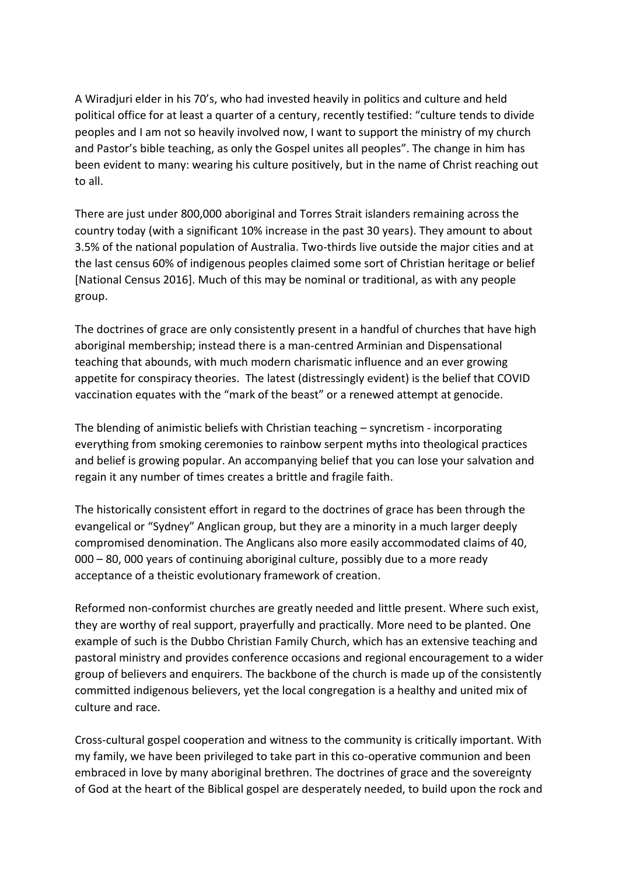A Wiradjuri elder in his 70's, who had invested heavily in politics and culture and held political office for at least a quarter of a century, recently testified: "culture tends to divide peoples and I am not so heavily involved now, I want to support the ministry of my church and Pastor's bible teaching, as only the Gospel unites all peoples". The change in him has been evident to many: wearing his culture positively, but in the name of Christ reaching out to all.

There are just under 800,000 aboriginal and Torres Strait islanders remaining across the country today (with a significant 10% increase in the past 30 years). They amount to about 3.5% of the national population of Australia. Two-thirds live outside the major cities and at the last census 60% of indigenous peoples claimed some sort of Christian heritage or belief [National Census 2016]. Much of this may be nominal or traditional, as with any people group.

The doctrines of grace are only consistently present in a handful of churches that have high aboriginal membership; instead there is a man-centred Arminian and Dispensational teaching that abounds, with much modern charismatic influence and an ever growing appetite for conspiracy theories. The latest (distressingly evident) is the belief that COVID vaccination equates with the "mark of the beast" or a renewed attempt at genocide.

The blending of animistic beliefs with Christian teaching – syncretism - incorporating everything from smoking ceremonies to rainbow serpent myths into theological practices and belief is growing popular. An accompanying belief that you can lose your salvation and regain it any number of times creates a brittle and fragile faith.

The historically consistent effort in regard to the doctrines of grace has been through the evangelical or "Sydney" Anglican group, but they are a minority in a much larger deeply compromised denomination. The Anglicans also more easily accommodated claims of 40, 000 – 80, 000 years of continuing aboriginal culture, possibly due to a more ready acceptance of a theistic evolutionary framework of creation.

Reformed non-conformist churches are greatly needed and little present. Where such exist, they are worthy of real support, prayerfully and practically. More need to be planted. One example of such is the Dubbo Christian Family Church, which has an extensive teaching and pastoral ministry and provides conference occasions and regional encouragement to a wider group of believers and enquirers. The backbone of the church is made up of the consistently committed indigenous believers, yet the local congregation is a healthy and united mix of culture and race.

Cross-cultural gospel cooperation and witness to the community is critically important. With my family, we have been privileged to take part in this co-operative communion and been embraced in love by many aboriginal brethren. The doctrines of grace and the sovereignty of God at the heart of the Biblical gospel are desperately needed, to build upon the rock and